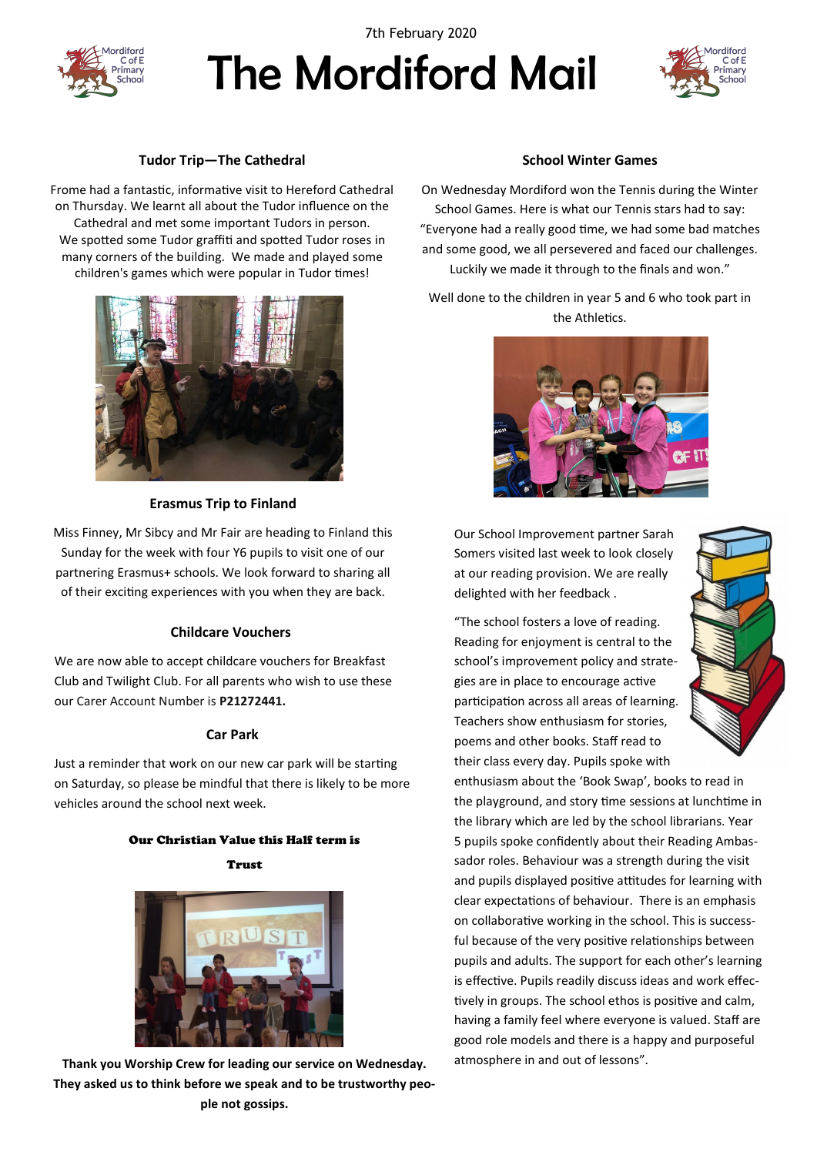

7th February 2020

# The Mordiford Mail



# **Tudor Trip—The Cathedral**

Frome had a fantastic, informative visit to Hereford Cathedral on Thursday. We learnt all about the Tudor influence on the Cathedral and met some important Tudors in person. We spotted some Tudor graffiti and spotted Tudor roses in many corners of the building. We made and played some children's games which were popular in Tudor times!



# **Erasmus Trip to Finland**

Miss Finney, Mr Sibcy and Mr Fair are heading to Finland this Sunday for the week with four Y6 pupils to visit one of our partnering Erasmus+ schools. We look forward to sharing all of their exciting experiences with you when they are back.

# **Childcare Vouchers**

We are now able to accept childcare vouchers for Breakfast Club and Twilight Club. For all parents who wish to use these our Carer Account Number is **P21272441.**

# **Car Park**

Just a reminder that work on our new car park will be starting on Saturday, so please be mindful that there is likely to be more vehicles around the school next week.

#### Our Christian Value this Half term is

Trust



**Thank you Worship Crew for leading our service on Wednesday. They asked us to think before we speak and to be trustworthy people not gossips.** 

## **School Winter Games**

On Wednesday Mordiford won the Tennis during the Winter School Games. Here is what our Tennis stars had to say: "Everyone had a really good time, we had some bad matches and some good, we all persevered and faced our challenges. Luckily we made it through to the finals and won."

Well done to the children in year 5 and 6 who took part in the Athletics.



Our School Improvement partner Sarah Somers visited last week to look closely at our reading provision. We are really delighted with her feedback .

"The school fosters a love of reading. Reading for enjoyment is central to the school's improvement policy and strategies are in place to encourage active participation across all areas of learning. Teachers show enthusiasm for stories, poems and other books. Staff read to their class every day. Pupils spoke with



enthusiasm about the 'Book Swap', books to read in the playground, and story time sessions at lunchtime in the library which are led by the school librarians. Year 5 pupils spoke confidently about their Reading Ambassador roles. Behaviour was a strength during the visit and pupils displayed positive attitudes for learning with clear expectations of behaviour. There is an emphasis on collaborative working in the school. This is successful because of the very positive relationships between pupils and adults. The support for each other's learning is effective. Pupils readily discuss ideas and work effectively in groups. The school ethos is positive and calm, having a family feel where everyone is valued. Staff are good role models and there is a happy and purposeful atmosphere in and out of lessons".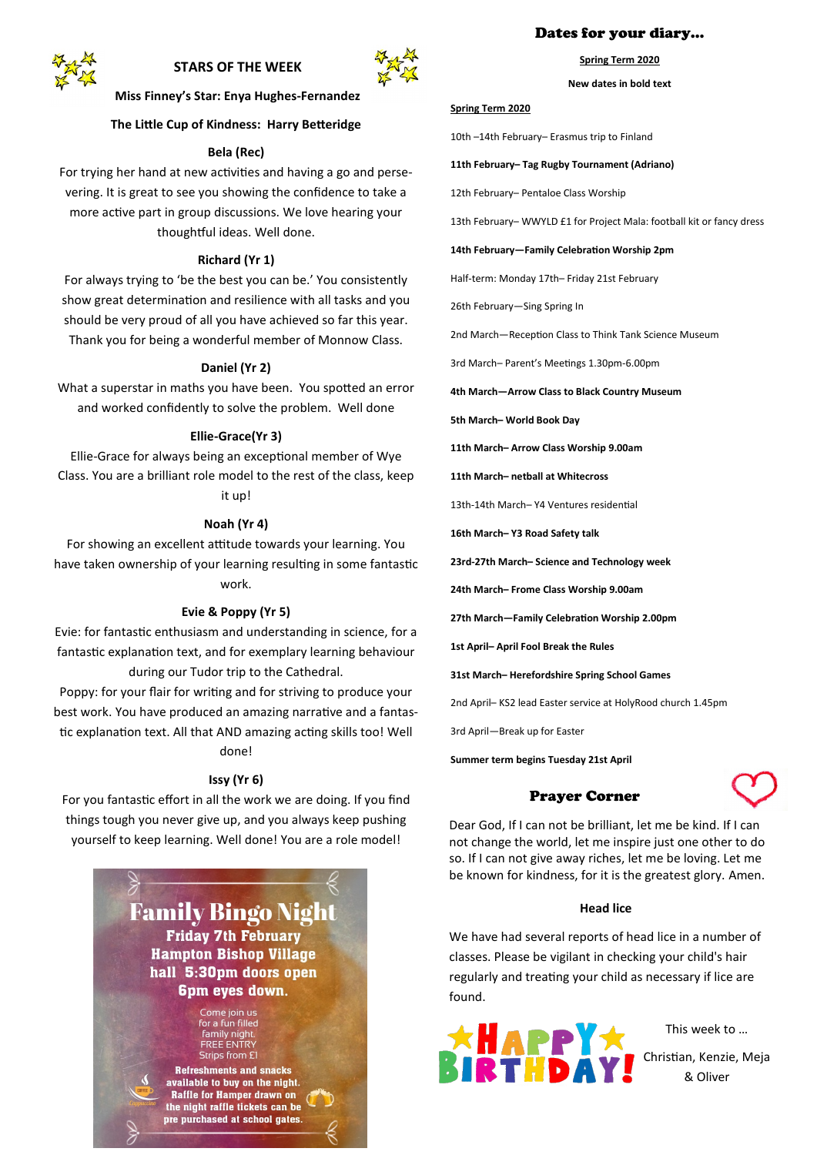

# **STARS OF THE WEEK**



**Miss Finney's Star: Enya Hughes-Fernandez**

# **The Little Cup of Kindness: Harry Betteridge**

#### **Bela (Rec)**

For trying her hand at new activities and having a go and persevering. It is great to see you showing the confidence to take a more active part in group discussions. We love hearing your thoughtful ideas. Well done.

#### **Richard (Yr 1)**

For always trying to 'be the best you can be.' You consistently show great determination and resilience with all tasks and you should be very proud of all you have achieved so far this year. Thank you for being a wonderful member of Monnow Class.

#### **Daniel (Yr 2)**

What a superstar in maths you have been. You spotted an error and worked confidently to solve the problem. Well done

#### **Ellie-Grace(Yr 3)**

Ellie-Grace for always being an exceptional member of Wye Class. You are a brilliant role model to the rest of the class, keep it up!

# **Noah (Yr 4)**

For showing an excellent attitude towards your learning. You have taken ownership of your learning resulting in some fantastic work.

#### **Evie & Poppy (Yr 5)**

Evie: for fantastic enthusiasm and understanding in science, for a fantastic explanation text, and for exemplary learning behaviour

during our Tudor trip to the Cathedral. Poppy: for your flair for writing and for striving to produce your best work. You have produced an amazing narrative and a fantastic explanation text. All that AND amazing acting skills too! Well done!

# **Issy (Yr 6)**

For you fantastic effort in all the work we are doing. If you find things tough you never give up, and you always keep pushing yourself to keep learning. Well done! You are a role model!

> **Family Bingo Nigh Friday 7th February Hampton Bishop Village** hall 5:30pm doors open **6pm eyes down.**

> > Come join us for a fun filled<br>family night.<br>FREE ENTRY Strips from ET

**Refreshments and snacks** available to buy on the night. **Raffle for Hamper drawn on** the night raffle tickets can be pre purchased at school gates.

## Dates for your diary…

**Spring Term 2020**

**New dates in bold text**

#### **Spring Term 2020**

10th –14th February– Erasmus trip to Finland

#### **11th February– Tag Rugby Tournament (Adriano)**

12th February– Pentaloe Class Worship

13th February– WWYLD £1 for Project Mala: football kit or fancy dress

#### **14th February—Family Celebration Worship 2pm**

Half-term: Monday 17th– Friday 21st February

26th February—Sing Spring In

2nd March—Reception Class to Think Tank Science Museum

3rd March– Parent's Meetings 1.30pm-6.00pm

**4th March—Arrow Class to Black Country Museum**

**5th March– World Book Day**

**11th March– Arrow Class Worship 9.00am**

**11th March– netball at Whitecross**

13th-14th March– Y4 Ventures residential

**16th March– Y3 Road Safety talk**

**23rd-27th March– Science and Technology week**

**24th March– Frome Class Worship 9.00am**

**27th March—Family Celebration Worship 2.00pm**

**1st April– April Fool Break the Rules**

**31st March– Herefordshire Spring School Games**

2nd April– KS2 lead Easter service at HolyRood church 1.45pm

3rd April—Break up for Easter

**Summer term begins Tuesday 21st April** 

# Prayer Corner



Dear God, If I can not be brilliant, let me be kind. If I can not change the world, let me inspire just one other to do so. If I can not give away riches, let me be loving. Let me be known for kindness, for it is the greatest glory. Amen.

## **Head lice**

We have had several reports of head lice in a number of classes. Please be vigilant in checking your child's hair regularly and treating your child as necessary if lice are found.



This week to … Christian, Kenzie, Meja

& Oliver